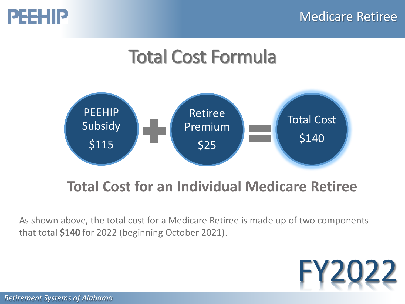

# Total Cost Formula



#### **Total Cost for an Individual Medicare Retiree**

As shown above, the total cost for a Medicare Retiree is made up of two components that total **\$140** for 2022 (beginning October 2021).

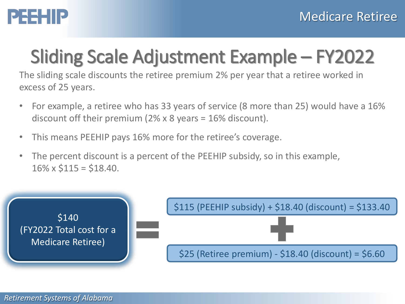

# Sliding Scale Adjustment Example – FY2022

The sliding scale discounts the retiree premium 2% per year that a retiree worked in excess of 25 years.

- For example, a retiree who has 33 years of service (8 more than 25) would have a 16% discount off their premium (2% x 8 years = 16% discount).
- This means PEEHIP pays 16% more for the retiree's coverage.
- The percent discount is a percent of the PEEHIP subsidy, so in this example,  $16\% \times $115 = $18.40$ .

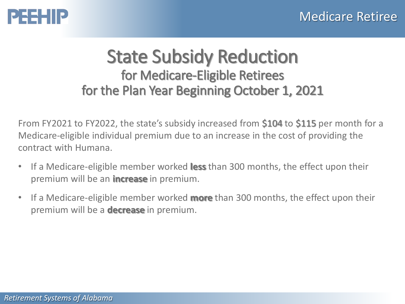



#### State Subsidy Reduction for Medicare-Eligible Retirees for the Plan Year Beginning October 1, 2021

From FY2021 to FY2022, the state's subsidy increased from \$104 to \$115 per month for a Medicare-eligible individual premium due to an increase in the cost of providing the contract with Humana.

- If a Medicare-eligible member worked **less** than 300 months, the effect upon their premium will be an **increase** in premium.
- If a Medicare-eligible member worked **more** than 300 months, the effect upon their premium will be a **decrease** in premium.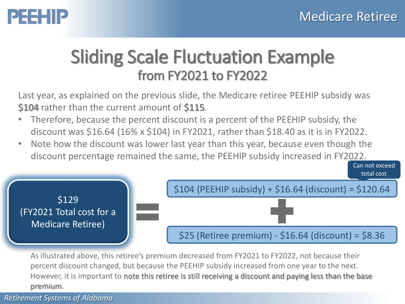### PEEHIP

#### Sliding Scale Fluctuation Example from FY2021 to FY2022

Last year, as explained on the previous slide, the Medicare retiree PEEHIP subsidy was \$104 rather than the current amount of \$115.

- Therefore, because the percent discount is a percent of the PEEHIP subsidy, the discount was \$16.64 (16% x \$104) in FY2021, rather than \$18.40 as it is in FY2022.
- Note how the discount was lower last year than this year, because even though the discount percentage remained the same, the PEEHIP subsidy increased in FY2022.



As illustrated above, this retiree's premium decreased from FY2021 to FY2022, not because their percent discount changed, but because the PEEHIP subsidy increased from one year to the next. However, it is important to note this retiree is still receiving a discount and paying less than the base premium.

*Retirement Systems of Alabama*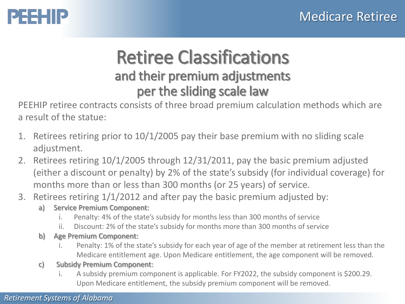## PEEHIP

#### Retiree Classifications and their premium adjustments per the sliding scale law

PEEHIP retiree contracts consists of three broad premium calculation methods which are a result of the statue:

- 1. Retirees retiring prior to 10/1/2005 pay their base premium with no sliding scale adjustment.
- 2. Retirees retiring 10/1/2005 through 12/31/2011, pay the basic premium adjusted (either a discount or penalty) by 2% of the state's subsidy (for individual coverage) for months more than or less than 300 months (or 25 years) of service.
- 3. Retirees retiring 1/1/2012 and after pay the basic premium adjusted by:
	- a) Service Premium Component:
		- i. Penalty: 4% of the state's subsidy for months less than 300 months of service
		- ii. Discount: 2% of the state's subsidy for months more than 300 months of service
	- b) Age Premium Component:
		- i. Penalty: 1% of the state's subsidy for each year of age of the member at retirement less than the Medicare entitlement age. Upon Medicare entitlement, the age component will be removed.
	- c) Subsidy Premium Component:
		- i. A subsidy premium component is applicable. For FY2022, the subsidy component is \$200.29. Upon Medicare entitlement, the subsidy premium component will be removed.

#### *Retirement Systems of Alabama*